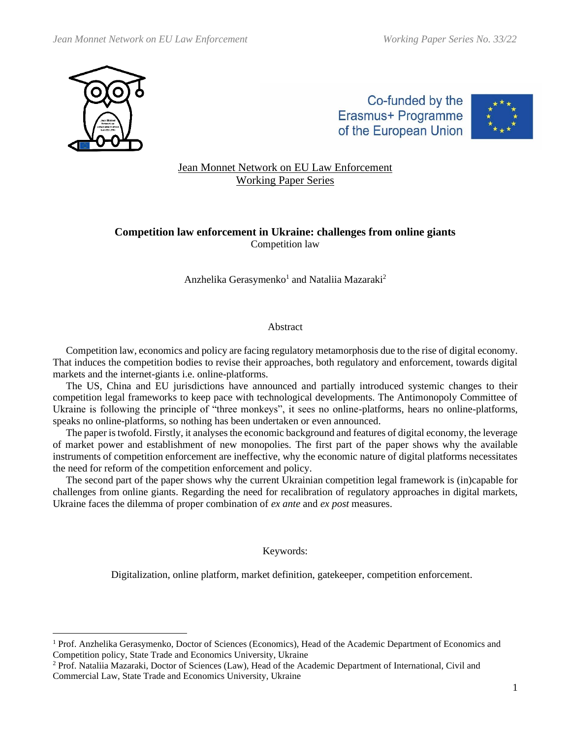

Co-funded by the Erasmus+ Programme of the European Union



# Jean Monnet Network on EU Law Enforcement Working Paper Series

# **Competition law enforcement in Ukraine: challenges from online giants** Competition law

## Anzhelika Gerasymenko<sup>1</sup> and Nataliia Mazaraki<sup>2</sup>

#### Abstract

Competition law, economics and policy are facing regulatory metamorphosis due to the rise of digital economy. That induces the competition bodies to revise their approaches, both regulatory and enforcement, towards digital markets and the internet-giants i.e. online-platforms.

The US, China and EU jurisdictions have announced and partially introduced systemic changes to their competition legal frameworks to keep pace with technological developments. The Antimonopoly Committee of Ukraine is following the principle of "three monkeys", it sees no online-platforms, hears no online-platforms, speaks no online-platforms, so nothing has been undertaken or even announced.

The paper is twofold. Firstly, it analyses the economic background and features of digital economy, the leverage of market power and establishment of new monopolies. The first part of the paper shows why the available instruments of competition enforcement are ineffective, why the economic nature of digital platforms necessitates the need for reform of the competition enforcement and policy.

The second part of the paper shows why the current Ukrainian competition legal framework is (in)capable for challenges from online giants. Regarding the need for recalibration of regulatory approaches in digital markets, Ukraine faces the dilemma of proper combination of *ex ante* and *ex post* measures.

Keywords:

Digitalization, online platform, market definition, gatekeeper, competition enforcement.

<sup>&</sup>lt;sup>1</sup> Prof. Anzhelika Gerasymenko, Doctor of Sciences (Economics), Head of the Academic Department of Economics and Competition policy, State Trade and Economics University, Ukraine

<sup>&</sup>lt;sup>2</sup> Prof. Nataliia Mazaraki, Doctor of Sciences (Law), Head of the Academic Department of International, Civil and Commercial Law, State Trade and Economics University, Ukraine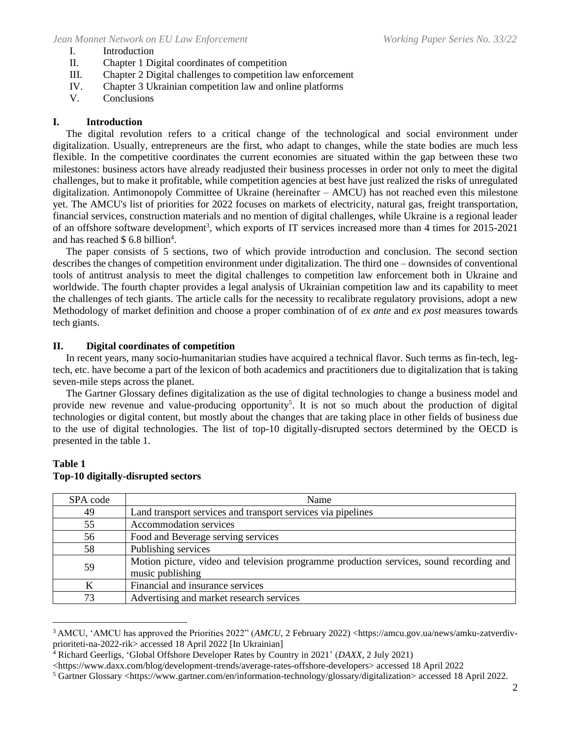- I. Introduction
- II. Chapter 1 Digital coordinates of competition
- III. Chapter 2 Digital challenges to competition law enforcement
- IV. Chapter 3 Ukrainian competition law and online platforms
- V. Conclusions

# **I. Introduction**

The digital revolution refers to a critical change of the technological and social environment under digitalization. Usually, entrepreneurs are the first, who adapt to changes, while the state bodies are much less flexible. In the competitive coordinates the current economies are situated within the gap between these two milestones: business actors have already readjusted their business processes in order not only to meet the digital challenges, but to make it profitable, while competition agencies at best have just realized the risks of unregulated digitalization. Antimonopoly Committee of Ukraine (hereinafter – AMCU) has not reached even this milestone yet. The AMCU's list of priorities for 2022 focuses on markets of electricity, natural gas, freight transportation, financial services, construction materials and no mention of digital challenges, while Ukraine is a regional leader of an offshore software development<sup>3</sup>, which exports of IT services increased more than 4 times for 2015-2021 and has reached \$ 6.8 billion<sup>4</sup>.

The paper consists of 5 sections, two of which provide introduction and conclusion. The second section describes the changes of competition environment under digitalization. The third one – downsides of conventional tools of antitrust analysis to meet the digital challenges to competition law enforcement both in Ukraine and worldwide. The fourth chapter provides a legal analysis of Ukrainian competition law and its capability to meet the challenges of tech giants. The article calls for the necessity to recalibrate regulatory provisions, adopt a new Methodology of market definition and choose a proper combination of of *ex ante* and *ex post* measures towards tech giants.

## **II. Digital coordinates of competition**

In recent years, many socio-humanitarian studies have acquired a technical flavor. Such terms as fin-tech, legtech, etc. have become a part of the lexicon of both academics and practitioners due to digitalization that is taking seven-mile steps across the planet.

The Gartner Glossary defines digitalization as the use of digital technologies to change a business model and provide new revenue and value-producing opportunity<sup>5</sup>. It is not so much about the production of digital technologies or digital content, but mostly about the changes that are taking place in other fields of business due to the use of digital technologies. The list of top-10 digitally-disrupted sectors determined by the OECD is presented in the table 1.

# SPA code Name 49 Land transport services and transport services via pipelines 55 Accommodation services 56 Food and Beverage serving services 58 Publishing services 59 Motion picture, video and television programme production services, sound recording and music publishing K Financial and insurance services 73 Advertising and market research services

## **Table 1 Top-10 digitally-disrupted sectors**

<sup>3</sup> AMCU, 'AMCU has approved the Priorities 2022" (*AMCU*, 2 February 2022) <https://amcu.gov.ua/news/amku-zatverdivprioriteti-na-2022-rik> accessed 18 April 2022 [In Ukrainian]

<sup>4</sup> Richard Geerligs, 'Global Offshore Developer Rates by Country in 2021' (*DAXX*, 2 July 2021)

<sup>&</sup>lt;https://www.daxx.com/blog/development-trends/average-rates-offshore-developers> accessed 18 April 2022

<sup>5</sup> Gartner Glossary <https://www.gartner.com/en/information-technology/glossary/digitalization> accessed 18 April 2022.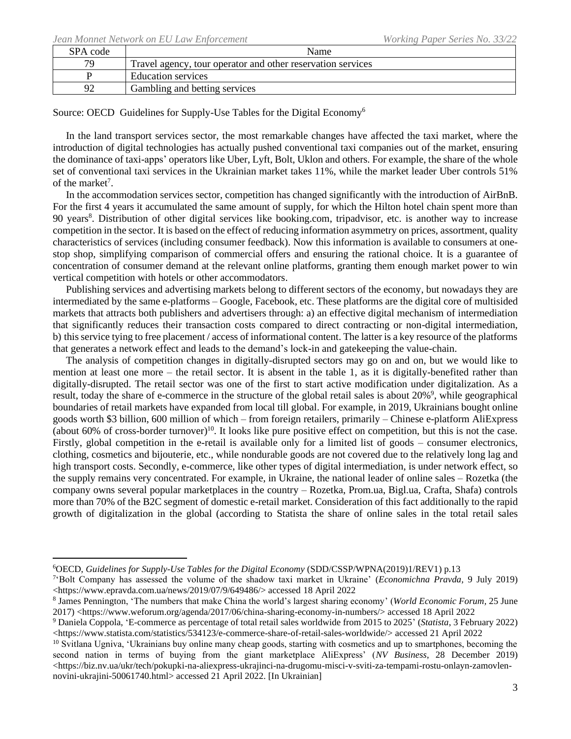| SPA code | Name                                                        |
|----------|-------------------------------------------------------------|
| 79       | Travel agency, tour operator and other reservation services |
|          | Education services                                          |
| 92       | Gambling and betting services                               |

Source: OECD Guidelines for Supply-Use Tables for the Digital Economy<sup>6</sup>

In the land transport services sector, the most remarkable changes have affected the taxi market, where the introduction of digital technologies has actually pushed conventional taxi companies out of the market, ensuring the dominance of taxi-apps' operators like Uber, Lyft, Bolt, Uklon and others. For example, the share of the whole set of conventional taxi services in the Ukrainian market takes 11%, while the market leader Uber controls 51% of the market<sup>7</sup>.

In the accommodation services sector, competition has changed significantly with the introduction of AirBnB. For the first 4 years it accumulated the same amount of supply, for which the Hilton hotel chain spent more than 90 years<sup>8</sup>. Distribution of other digital services like booking.com, tripadvisor, etc. is another way to increase competition in the sector. It is based on the effect of reducing information asymmetry on prices, assortment, quality characteristics of services (including consumer feedback). Now this information is available to consumers at onestop shop, simplifying comparison of commercial offers and ensuring the rational choice. It is a guarantee of concentration of consumer demand at the relevant online platforms, granting them enough market power to win vertical competition with hotels or other accommodators.

Publishing services and advertising markets belong to different sectors of the economy, but nowadays they are intermediated by the same e-platforms – Google, Facebook, etc. These platforms are the digital core of multisided markets that attracts both publishers and advertisers through: a) an effective digital mechanism of intermediation that significantly reduces their transaction costs compared to direct contracting or non-digital intermediation, b) this service tying to free placement / access of informational content. The latter is a key resource of the platforms that generates a network effect and leads to the demand's lock-in and gatekeeping the value-chain.

The analysis of competition changes in digitally-disrupted sectors may go on and on, but we would like to mention at least one more – the retail sector. It is absent in the table 1, as it is digitally-benefited rather than digitally-disrupted. The retail sector was one of the first to start active modification under digitalization. As a result, today the share of e-commerce in the structure of the global retail sales is about 20%<sup>9</sup>, while geographical boundaries of retail markets have expanded from local till global. For example, in 2019, Ukrainians bought online goods worth \$3 billion, 600 million of which – from foreign retailers, primarily – Chinese e-platform AliExpress (about 60% of cross-border turnover) <sup>10</sup>. It looks like pure positive effect on competition, but this is not the case. Firstly, global competition in the e-retail is available only for a limited list of goods – consumer electronics, clothing, cosmetics and bijouterie, etc., while nondurable goods are not covered due to the relatively long lag and high transport costs. Secondly, e-commerce, like other types of digital intermediation, is under network effect, so the supply remains very concentrated. For example, in Ukraine, the national leader of online sales – Rozetka (the company owns several popular marketplaces in the country – Rozetka, Prom.ua, Bigl.ua, Crafta, Shafa) controls more than 70% of the B2C segment of domestic e-retail market. Consideration of this fact additionally to the rapid growth of digitalization in the global (according to Statista the share of online sales in the total retail sales

<sup>6</sup>OECD, *Guidelines for Supply-Use Tables for the Digital Economy* (SDD/CSSP/WPNA(2019)1/REV1) p.13

<sup>7</sup> 'Bolt Company has assessed the volume of the shadow taxi market in Ukraine' (*Economichna Pravda,* 9 July 2019) <https://www.epravda.com.ua/news/2019/07/9/649486/> accessed 18 April 2022

<sup>8</sup> James Pennington, 'The numbers that make China the world's largest sharing economy' (*World Economic Forum,* 25 June 2017) <https://www.weforum.org/agenda/2017/06/china-sharing-economy-in-numbers/> accessed 18 April 2022

<sup>9</sup> Daniela Coppola, 'E-commerce as percentage of total retail sales worldwide from 2015 to 2025' (*Statista*, 3 February 2022) <https://www.statista.com/statistics/534123/e-commerce-share-of-retail-sales-worldwide/> accessed 21 April 2022

 $10$  Svitlana Ugniva, 'Ukrainians buy online many cheap goods, starting with cosmetics and up to smartphones, becoming the second nation in terms of buying from the giant marketplace AliExpress' (*NV Business*, 28 December 2019) <https://biz.nv.ua/ukr/tech/pokupki-na-aliexpress-ukrajinci-na-drugomu-misci-v-sviti-za-tempami-rostu-onlayn-zamovlennovini-ukrajini-50061740.html> accessed 21 April 2022. [In Ukrainian]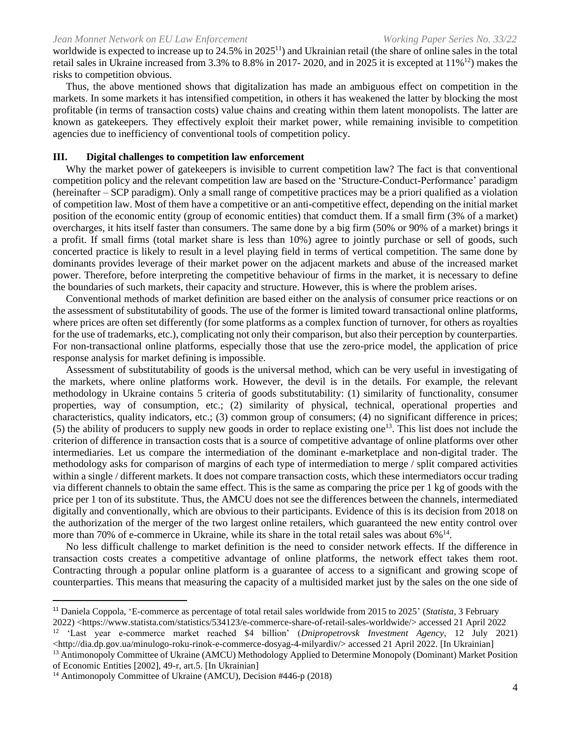worldwide is expected to increase up to 24.5% in 2025<sup>11</sup>) and Ukrainian retail (the share of online sales in the total retail sales in Ukraine increased from 3.3% to 8.8% in 2017- 2020, and in 2025 it is excepted at 11%<sup>12</sup>) makes the risks to competition obvious.

Thus, the above mentioned shows that digitalization has made an ambiguous effect on competition in the markets. In some markets it has intensified competition, in others it has weakened the latter by blocking the most profitable (in terms of transaction costs) value chains and creating within them latent monopolists. The latter are known as gatekeepers. They effectively exploit their market power, while remaining invisible to competition agencies due to inefficiency of conventional tools of competition policy.

### **III. Digital challenges to competition law enforcement**

Why the market power of gatekeepers is invisible to current competition law? The fact is that conventional competition policy and the relevant competition law are based on the 'Structure-Conduct-Performance' paradigm (hereinafter – SCP paradigm). Only a small range of competitive practices may be a priori qualified as a violation of competition law. Most of them have a competitive or an anti-competitive effect, depending on the initial market position of the economic entity (group of economic entities) that comduct them. If a small firm (3% of a market) overcharges, it hits itself faster than consumers. The same done by a big firm (50% or 90% of a market) brings it a profit. If small firms (total market share is less than 10%) agree to jointly purchase or sell of goods, such concerted practice is likely to result in a level playing field in terms of vertical competition. The same done by dominants provides leverage of their market power on the adjacent markets and abuse of the increased market power. Therefore, before interpreting the competitive behaviour of firms in the market, it is necessary to define the boundaries of such markets, their capacity and structure. However, this is where the problem arises.

Conventional methods of market definition are based either on the analysis of consumer price reactions or on the assessment of substitutability of goods. The use of the former is limited toward transactional online platforms, where prices are often set differently (for some platforms as a complex function of turnover, for others as royalties for the use of trademarks, etc.), complicating not only their comparison, but also their perception by counterparties. For non-transactional online platforms, especially those that use the zero-price model, the application of price response analysis for market defining is impossible.

Assessment of substitutability of goods is the universal method, which can be very useful in investigating of the markets, where online platforms work. However, the devil is in the details. For example, the relevant methodology in Ukraine contains 5 criteria of goods substitutability: (1) similarity of functionality, consumer properties, way of consumption, etc.; (2) similarity of physical, technical, operational properties and characteristics, quality indicators, etc.; (3) common group of consumers; (4) no significant difference in prices;  $(5)$  the ability of producers to supply new goods in order to replace existing one<sup>13</sup>. This list does not include the criterion of difference in transaction costs that is a source of competitive advantage of online platforms over other intermediaries. Let us compare the intermediation of the dominant e-marketplace and non-digital trader. The methodology asks for comparison of margins of each type of intermediation to merge / split compared activities within a single / different markets. It does not compare transaction costs, which these intermediators occur trading via different channels to obtain the same effect. This is the same as comparing the price per 1 kg of goods with the price per 1 ton of its substitute. Thus, the AMCU does not see the differences between the channels, intermediated digitally and conventionally, which are obvious to their participants. Evidence of this is its decision from 2018 on the authorization of the merger of the two largest online retailers, which guaranteed the new entity control over more than 70% of e-commerce in Ukraine, while its share in the total retail sales was about 6%<sup>14</sup>.

No less difficult challenge to market definition is the need to consider network effects. If the difference in transaction costs creates a competitive advantage of online platforms, the network effect takes them root. Contracting through a popular online platform is a guarantee of access to a significant and growing scope of counterparties. This means that measuring the capacity of a multisided market just by the sales on the one side of

<sup>12</sup> 'Last year e-commerce market reached \$4 billion' (*Dnipropetrovsk Investment Agency*, 12 July 2021)  $\langle$ http://dia.dp.gov.ua/minulogo-roku-rinok-e-commerce-dosyag-4-milyardiv/> accessed 21 April 2022. [In Ukrainian]

<sup>13</sup> Antimonopoly Committee of Ukraine (AMCU) Methodology Applied to Determine Monopoly (Dominant) Market Position of Economic Entities [2002], 49-r, art.5. [In Ukrainian]

<sup>11</sup> Daniela Coppola, 'E-commerce as percentage of total retail sales worldwide from 2015 to 2025' (*Statista*, 3 February

<sup>2022)</sup> <https://www.statista.com/statistics/534123/e-commerce-share-of-retail-sales-worldwide/> accessed 21 April 2022

<sup>&</sup>lt;sup>14</sup> Antimonopoly Committee of Ukraine (AMCU), Decision #446-p (2018)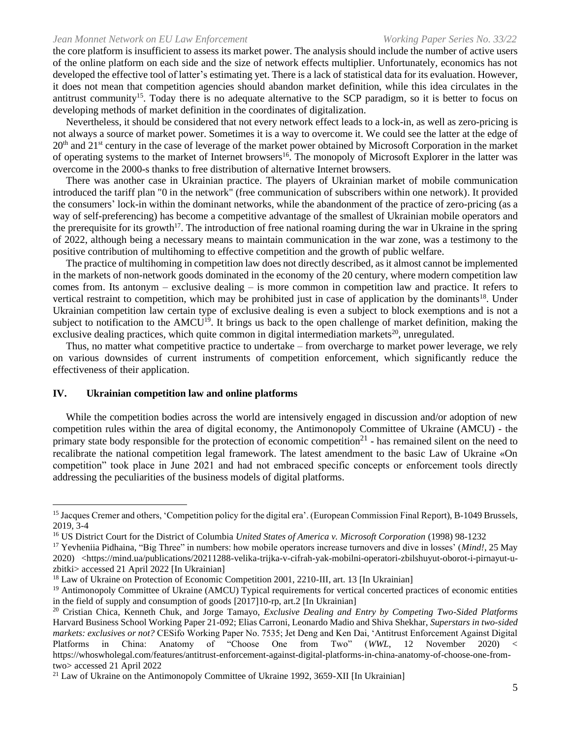the core platform is insufficient to assess its market power. The analysis should include the number of active users of the online platform on each side and the size of network effects multiplier. Unfortunately, economics has not developed the effective tool of latter's estimating yet. There is a lack of statistical data for its evaluation. However, it does not mean that competition agencies should abandon market definition, while this idea circulates in the antitrust community<sup>15</sup>. Today there is no adequate alternative to the SCP paradigm, so it is better to focus on developing methods of market definition in the coordinates of digitalization.

Nevertheless, it should be considered that not every network effect leads to a lock-in, as well as zero-pricing is not always a source of market power. Sometimes it is a way to overcome it. We could see the latter at the edge of  $20<sup>th</sup>$  and  $21<sup>st</sup>$  century in the case of leverage of the market power obtained by Microsoft Corporation in the market of operating systems to the market of Internet browsers<sup>16</sup>. The monopoly of Microsoft Explorer in the latter was overcome in the 2000-s thanks to free distribution of alternative Internet browsers.

There was another case in Ukrainian practice. The players of Ukrainian market of mobile communication introduced the tariff plan "0 in the network" (free communication of subscribers within one network). It provided the consumers' lock-in within the dominant networks, while the abandonment of the practice of zero-pricing (as a way of self-preferencing) has become a competitive advantage of the smallest of Ukrainian mobile operators and the prerequisite for its growth<sup>17</sup>. The introduction of free national roaming during the war in Ukraine in the spring of 2022, although being a necessary means to maintain communication in the war zone, was a testimony to the positive contribution of multihoming to effective competition and the growth of public welfare.

The practice of multihoming in competition law does not directly described, as it almost cannot be implemented in the markets of non-network goods dominated in the economy of the 20 century, where modern competition law comes from. Its antonym – exclusive dealing – is more common in competition law and practice. It refers to vertical restraint to competition, which may be prohibited just in case of application by the dominants<sup>18</sup>. Under Ukrainian competition law certain type of exclusive dealing is even a subject to block exemptions and is not a subject to notification to the AMCU<sup>19</sup>. It brings us back to the open challenge of market definition, making the exclusive dealing practices, which quite common in digital intermediation markets<sup>20</sup>, unregulated.

Thus, no matter what competitive practice to undertake – from overcharge to market power leverage, we rely on various downsides of current instruments of competition enforcement, which significantly reduce the effectiveness of their application.

#### **IV. Ukrainian competition law and online platforms**

While the competition bodies across the world are intensively engaged in discussion and/or adoption of new competition rules within the area of digital economy, the Antimonopoly Committee of Ukraine (AMCU) - the primary state body responsible for the protection of economic competition<sup>21</sup> - has remained silent on the need to recalibrate the national competition legal framework. The latest amendment to the basic Law of Ukraine «On competition" took place in June 2021 and had not embraced specific concepts or enforcement tools directly addressing the peculiarities of the business models of digital platforms.

<sup>15</sup> Jacques Cremer and others, 'Competition policy for the digital era'. (European Commission Final Report), B-1049 Brussels, 2019, 3-4

<sup>16</sup> US District Court for the District of Columbia *United States of America v. Microsoft Corporation* (1998) 98-1232

<sup>17</sup> Yevheniia Pidhaina, "Big Three" in numbers: how mobile operators increase turnovers and dive in losses' (*Mind!*, 25 May 2020) <https://mind.ua/publications/20211288-velika-trijka-v-cifrah-yak-mobilni-operatori-zbilshuyut-oborot-i-pirnayut-uzbitki> accessed 21 April 2022 [In Ukrainian]

<sup>&</sup>lt;sup>18</sup> Law of Ukraine on Protection of Economic Competition 2001, 2210-III, art. 13 [In Ukrainian]

<sup>&</sup>lt;sup>19</sup> Antimonopoly Committee of Ukraine (AMCU) Typical requirements for vertical concerted practices of economic entities in the field of supply and consumption of goods [2017]10-rp, art.2 [In Ukrainian]

<sup>20</sup> Cristian Chica, Kenneth Chuk, and Jorge Tamayo, *Exclusive Dealing and Entry by Competing Two-Sided Platforms* Harvard Business School Working Paper 21-092; Elias Carroni, Leonardo Madio and Shiva Shekhar, *Superstars in two-sided markets: exclusives or not?* CESifo Working Paper No. 7535; Jet Deng and Ken Dai, 'Antitrust Enforcement Against Digital Platforms in China: Anatomy of "Choose One from Two" (*WWL*, 12 November 2020) < https://whoswholegal.com/features/antitrust-enforcement-against-digital-platforms-in-china-anatomy-of-choose-one-fromtwo> accessed 21 April 2022

 $21$  Law of Ukraine on the Antimonopoly Committee of Ukraine 1992, 3659-XII [In Ukrainian]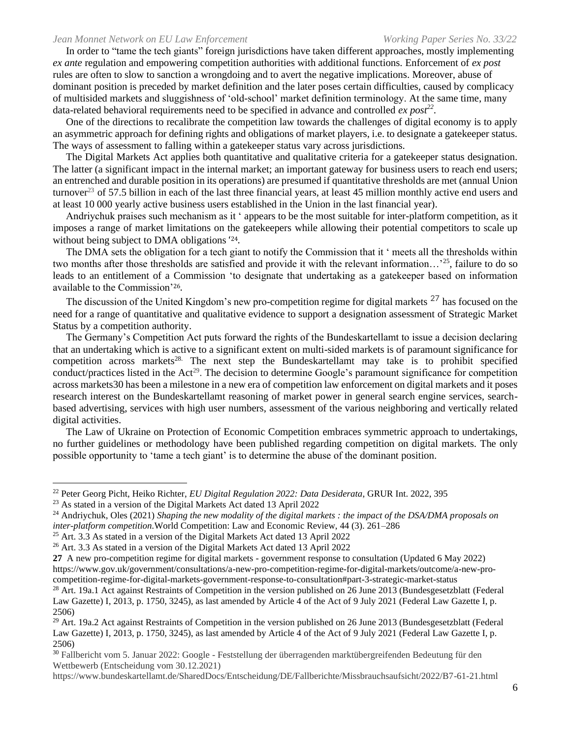In order to "tame the tech giants" foreign jurisdictions have taken different approaches, mostly implementing *ex ante* regulation and empowering competition authorities with additional functions. Enforcement of *ex post* rules are often to slow to sanction a wrongdoing and to avert the negative implications. Moreover, abuse of dominant position is preceded by market definition and the later poses certain difficulties, caused by complicacy of multisided markets and sluggishness of 'old-school' market definition terminology. At the same time, many data-related behavioral requirements need to be specified in advance and controlled *ex post<sup>22</sup>* .

One of the directions to recalibrate the competition law towards the challenges of digital economy is to apply an asymmetric approach for defining rights and obligations of market players, i.e. to designate a gatekeeper status. The ways of assessment to falling within a gatekeeper status vary across jurisdictions.

The Digital Markets Act applies both quantitative and qualitative criteria for a gatekeeper status designation. The latter (a significant impact in the internal market; an important gateway for business users to reach end users; an entrenched and durable position in its operations) are presumed if quantitative thresholds are met (annual Union turnover<sup>23</sup> of 57.5 billion in each of the last three financial years, at least 45 million monthly active end users and at least 10 000 yearly active business users established in the Union in the last financial year).

Andriychuk praises such mechanism as it ' appears to be the most suitable for inter-platform competition, as it imposes a range of market limitations on the gatekeepers while allowing their potential competitors to scale up without being subject to DMA obligations ' 24.

The DMA sets the obligation for a tech giant to notify the Commission that it ' meets all the thresholds within two months after those thresholds are satisfied and provide it with the relevant information…'<sup>25</sup>, failure to do so leads to an entitlement of a Commission 'to designate that undertaking as a gatekeeper based on information available to the Commission'26.

The discussion of the United Kingdom's new pro-competition regime for digital markets <sup>27</sup> has focused on the need for a range of quantitative and qualitative evidence to support a designation assessment of Strategic Market Status by a competition authority.

The Germany's Competition Act puts forward the rights of the Bundeskartellamt to issue a decision declaring that an undertaking which is active to a significant extent on multi-sided markets is of paramount significance for competition across markets<sup>28.</sup> The next step the Bundeskartellamt may take is to prohibit specified conduct/practices listed in the Act<sup>29</sup>. The decision to determine Google's paramount significance for competition across markets30 has been a milestone in a new era of competition law enforcement on digital markets and it poses research interest on the Bundeskartellamt reasoning of market power in general search engine services, searchbased advertising, services with high user numbers, assessment of the various neighboring and vertically related digital activities.

The Law of Ukraine on Protection of Economic Competition embraces symmetric approach to undertakings, no further guidelines or methodology have been published regarding competition on digital markets. The only possible opportunity to 'tame a tech giant' is to determine the abuse of the dominant position.

<sup>22</sup> Peter Georg Picht, Heiko Richter, *EU Digital Regulation 2022: Data Desiderata*, GRUR Int. 2022, 395

<sup>23</sup> As stated in a version of the Digital Markets Act dated 13 April 2022

<sup>24</sup> Andriychuk, Oles [\(2021\)](https://strathprints.strath.ac.uk/view/year/2021.html) *Shaping the new modality of the digital markets : the impact of the DSA/DMA proposals on inter-platform competition.*World Competition: Law and Economic Review, 44 (3). 261–286

 $25$  Art. 3.3 As stated in a version of the Digital Markets Act dated 13 April 2022

<sup>&</sup>lt;sup>26</sup> Art. 3.3 As stated in a version of the Digital Markets Act dated 13 April 2022

**<sup>27</sup>** A new pro-competition regime for digital markets - government response to consultation (Updated 6 May 2022) https://www.gov.uk/government/consultations/a-new-pro-competition-regime-for-digital-markets/outcome/a-new-procompetition-regime-for-digital-markets-government-response-to-consultation#part-3-strategic-market-status

 $28$  Art. 19a.1 Act against Restraints of Competition in the version published on 26 June 2013 (Bundesgesetzblatt (Federal Law Gazette) I, 2013, p. 1750, 3245), as last amended by Article 4 of the Act of 9 July 2021 (Federal Law Gazette I, p. 2506)

 $^{29}$  Art. 19a.2 Act against Restraints of Competition in the version published on 26 June 2013 (Bundesgesetzblatt (Federal Law Gazette) I, 2013, p. 1750, 3245), as last amended by Article 4 of the Act of 9 July 2021 (Federal Law Gazette I, p. 2506)

<sup>&</sup>lt;sup>30</sup> Fallbericht vom 5. Januar 2022: Google - Feststellung der überragenden marktübergreifenden Bedeutung für den Wettbewerb (Entscheidung vom 30.12.2021)

https://www.bundeskartellamt.de/SharedDocs/Entscheidung/DE/Fallberichte/Missbrauchsaufsicht/2022/B7-61-21.html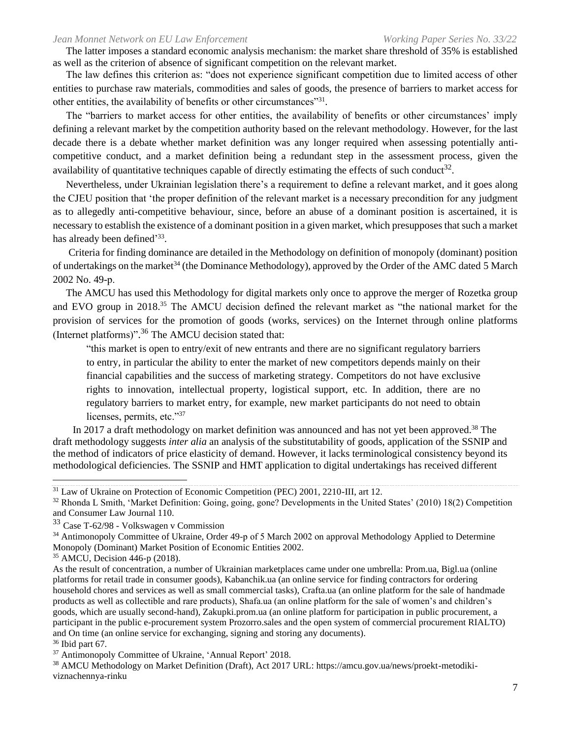The latter imposes a standard economic analysis mechanism: the market share threshold of 35% is established as well as the criterion of absence of significant competition on the relevant market.

The law defines this criterion as: "does not experience significant competition due to limited access of other entities to purchase raw materials, commodities and sales of goods, the presence of barriers to market access for other entities, the availability of benefits or other circumstances"<sup>31</sup>.

The "barriers to market access for other entities, the availability of benefits or other circumstances' imply defining a relevant market by the competition authority based on the relevant methodology. However, for the last decade there is a debate whether market definition was any longer required when assessing potentially anticompetitive conduct, and a market definition being a redundant step in the assessment process, given the availability of quantitative techniques capable of directly estimating the effects of such conduct<sup>32</sup>.

Nevertheless, under Ukrainian legislation there's a requirement to define a relevant market, and it goes along the CJEU position that 'the proper definition of the relevant market is a necessary precondition for any judgment as to allegedly anti-competitive behaviour, since, before an abuse of a dominant position is ascertained, it is necessary to establish the existence of a dominant position in a given market, which presupposes that such a market has already been defined'<sup>33</sup>.

Criteria for finding dominance are detailed in the Methodology on definition of monopoly (dominant) position of undertakings on the market<sup>34</sup> (the Dominance Methodology), approved by the Order of the AMC dated 5 March 2002 No. 49-р.

The AMCU has used this Methodology for digital markets only once to approve the merger of Rozetka group and EVO group in 2018.<sup>35</sup> The AMCU decision defined the relevant market as "the national market for the provision of services for the promotion of goods (works, services) on the Internet through online platforms (Internet platforms)".<sup>36</sup> The AMCU decision stated that:

"this market is open to entry/exit of new entrants and there are no significant regulatory barriers to entry, in particular the ability to enter the market of new competitors depends mainly on their financial capabilities and the success of marketing strategy. Competitors do not have exclusive rights to innovation, intellectual property, logistical support, etc. In addition, there are no regulatory barriers to market entry, for example, new market participants do not need to obtain licenses, permits, etc."37

In 2017 a draft methodology on market definition was announced and has not yet been approved.<sup>38</sup> The draft methodology suggests *inter alia* an analysis of the substitutability of goods, application of the SSNIP and the method of indicators of price elasticity of demand. However, it lacks terminological consistency beyond its methodological deficiencies. The SSNIP and HMT application to digital undertakings has received different

<sup>&</sup>lt;sup>31</sup> Law of Ukraine on Protection of Economic Competition (PEC) 2001, 2210-III, art 12.

<sup>&</sup>lt;sup>32</sup> Rhonda L Smith, 'Market Definition: Going, going, gone? Developments in the United States' (2010) 18(2) Competition and Consumer Law Journal 110.

<sup>33</sup> Case T-62/98 - Volkswagen v Commission

<sup>&</sup>lt;sup>34</sup> Antimonopoly Committee of Ukraine, Order 49-p of 5 March 2002 on approval Methodology Applied to Determine Monopoly (Dominant) Market Position of Economic Entities 2002.

<sup>35</sup> AMCU, Decision 446-p (2018).

As the result of concentration, a number of Ukrainian marketplaces came under one umbrella: Prom.ua, Bigl.ua (online platforms for retail trade in consumer goods), Kabanchik.ua (an online service for finding contractors for ordering household chores and services as well as small commercial tasks), Crafta.ua (an online platform for the sale of handmade products as well as collectible and rare products), Shafa.ua (an online platform for the sale of women's and children's goods, which are usually second-hand), Zakupki.prom.ua (an online platform for participation in public procurement, a participant in the public e-procurement system Prozorro.sales and the open system of commercial procurement RIALTO) and On time (an online service for exchanging, signing and storing any documents).

 $36$  Ibid part 67.

<sup>&</sup>lt;sup>37</sup> Antimonopoly Committee of Ukraine, 'Annual Report' 2018.

<sup>38</sup> AMCU Methodology on Market Definition (Draft), Act 2017 URL: https://amcu.gov.ua/news/proekt-metodikiviznachennya-rinku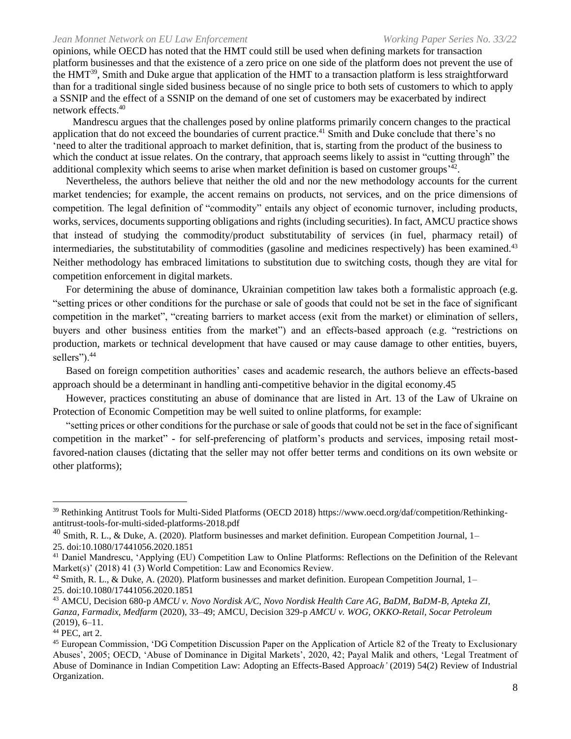opinions, while OECD has noted that the HMT could still be used when defining markets for transaction platform businesses and that the existence of a zero price on one side of the platform does not prevent the use of the HMT<sup>39</sup>, Smith and Duke argue that application of the HMT to a transaction platform is less straightforward than for a traditional single sided business because of no single price to both sets of customers to which to apply a SSNIP and the effect of a SSNIP on the demand of one set of customers may be exacerbated by indirect network effects. 40

Mandrescu argues that the challenges posed by online platforms primarily concern changes to the practical application that do not exceed the boundaries of current practice.<sup>41</sup> Smith and Duke conclude that there's no 'need to alter the traditional approach to market definition, that is, starting from the product of the business to which the conduct at issue relates. On the contrary, that approach seems likely to assist in "cutting through" the additional complexity which seems to arise when market definition is based on customer groups<sup>'42</sup>.

Nevertheless, the authors believe that neither the old and nor the new methodology accounts for the current market tendencies; for example, the accent remains on products, not services, and on the price dimensions of competition. The legal definition of "commodity" entails any object of economic turnover, including products, works, services, documents supporting obligations and rights (including securities). In fact, AMCU practice shows that instead of studying the commodity/product substitutability of services (in fuel, pharmacy retail) of intermediaries, the substitutability of commodities (gasoline and medicines respectively) has been examined.<sup>43</sup> Neither methodology has embraced limitations to substitution due to switching costs, though they are vital for competition enforcement in digital markets.

For determining the abuse of dominance, Ukrainian competition law takes both a formalistic approach (e.g. "setting prices or other conditions for the purchase or sale of goods that could not be set in the face of significant competition in the market", "creating barriers to market access (exit from the market) or elimination of sellers, buyers and other business entities from the market") and an effects-based approach (e.g. "restrictions on production, markets or technical development that have caused or may cause damage to other entities, buyers, sellers").<sup>44</sup>

Based on foreign competition authorities' cases and academic research, the authors believe an effects-based approach should be a determinant in handling anti-competitive behavior in the digital economy.45

However, practices constituting an abuse of dominance that are listed in Art. 13 of the Law of Ukraine on Protection of Economic Competition may be well suited to online platforms, for example:

"setting prices or other conditions for the purchase or sale of goods that could not be set in the face of significant competition in the market" - for self-preferencing of platform's products and services, imposing retail mostfavored-nation clauses (dictating that the seller may not offer better terms and conditions on its own website or other platforms);

<sup>39</sup> Rethinking Antitrust Tools for Multi-Sided Platforms (OECD 2018) https://www.oecd.org/daf/competition/Rethinkingantitrust-tools-for-multi-sided-platforms-2018.pdf

 $^{40}$  Smith, R. L., & Duke, A. (2020). Platform businesses and market definition. European Competition Journal, 1– 25. doi:10.1080/17441056.2020.1851

<sup>&</sup>lt;sup>41</sup> Daniel Mandrescu, 'Applying (EU) Competition Law to Online Platforms: Reflections on the Definition of the Relevant Market(s)' (2018) 41 (3) World Competition: Law and Economics Review.

 $42$  Smith, R. L., & Duke, A. (2020). Platform businesses and market definition. European Competition Journal,  $1-$ 25. doi:10.1080/17441056.2020.1851

<sup>43</sup> AMCU, Decision 680-p *AMCU v. Novo Nordisk A/C, Novo Nordisk Health Care AG, BaDM, BaDM-B, Apteka ZI, Ganza, Farmadix, Medfarm* (2020), 33–49; AMCU, Decision 329-p *AMCU v. WOG, OKKO-Retail, Socar Petroleum* (2019), 6–11.

<sup>44</sup> PEC, art 2.

<sup>45</sup> European Commission, 'DG Competition Discussion Paper on the Application of Article 82 of the Treaty to Exclusionary Abuses', 2005; OECD, 'Abuse of Dominance in Digital Markets', 2020, 42; Payal Malik and others, 'Legal Treatment of Abuse of Dominance in Indian Competition Law: Adopting an Effects-Based Approac*h'* (2019) 54(2) Review of Industrial Organization.